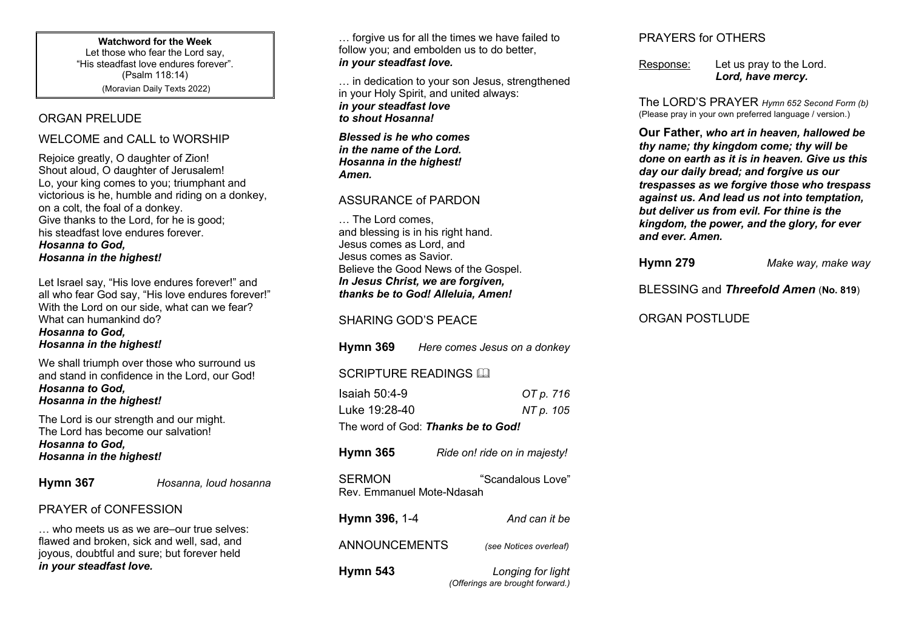**Watchword for the Week** Let those who fear the Lord say, "His steadfast love endures forever". (Psalm 118:14) (Moravian Daily Texts 2022)

## ORGAN PRELUDE

#### WELCOME and CALL to WORSHIP

Rejoice greatly, O daughter of Zion! Shout aloud, O daughter of Jerusalem! Lo, your king comes to you; triumphant and victorious is he, humble and riding on a donkey, on a colt, the foal of a donkey. Give thanks to the Lord, for he is good; his steadfast love endures forever.

*Hosanna to God, Hosanna in the highest!*

Let Israel say, "His love endures forever!" and all who fear God say, "His love endures forever!" With the Lord on our side, what can we fear? What can humankind do? *Hosanna to God, Hosanna in the highest!*

We shall triumph over those who surround us and stand in confidence in the Lord, our God! *Hosanna to God, Hosanna in the highest!*

The Lord is our strength and our might. The Lord has become our salvation! *Hosanna to God, Hosanna in the highest!*

| <b>Hymn 367</b> |  |
|-----------------|--|
|-----------------|--|

**Hosanna, loud hosanna** 

# PRAYER of CONFESSION

who meets us as we are–our true selves: flawed and broken, sick and well, sad, and joyous, doubtful and sure; but forever held *in your steadfast love.*

... forgive us for all the times we have failed to follow you; and embolden us to do better, *in your steadfast love.*

… in dedication to your son Jesus, strengthened in your Holy Spirit, and united always: *in your steadfast love to shout Hosanna!* 

*Blessed is he who comes in the name of the Lord. Hosanna in the highest! Amen.*

## ASSURANCE of PARDON

… The Lord comes, and blessing is in his right hand. Jesus comes as Lord, and Jesus comes as Savior. Believe the Good News of the Gospel. *In Jesus Christ, we are forgiven, thanks be to God! Alleluia, Amen!*

SHARING GOD'S PEACE

**Hymn 369** *Here comes Jesus on a donkey*

SCRIPTURE READINGS AN

| Isaiah $50:4-9$                    | OT p. 716                    |  |  |  |
|------------------------------------|------------------------------|--|--|--|
| Luke 19:28-40                      | NT p. 105                    |  |  |  |
| The word of God: Thanks be to God! |                              |  |  |  |
| <b>Hymn 365</b>                    | Ride on! ride on in maiesty! |  |  |  |

SERMON "Scandalous Love" Rev. Emmanuel Mote-Ndasah

**Hymn 396,** 1-4*And can it be* ANNOUNCEMENTS *(see Notices overleaf)* **Hymn 543** *Longing for light (Offerings are brought forward.)*

# PRAYERS for OTHERS

Response: Let us pray to the Lord. *Lord, have mercy.*

The LORD'S PRAYER *Hymn 652 Second Form (b)* (Please pray in your own preferred language / version.)

**Our Father,** *who art in heaven, hallowed be thy name; thy kingdom come; thy will be done on earth as it is in heaven. Give us this day our daily bread; and forgive us our trespasses as we forgive those who trespass against us. And lead us not into temptation, but deliver us from evil. For thine is the kingdom, the power, and the glory, for ever and ever. Amen.*

| <b>Hymn 279</b> | Make way, make way                           |
|-----------------|----------------------------------------------|
|                 | BLESSING and <i>Threefold Amen</i> (No. 819) |

ORGAN POSTLUDE